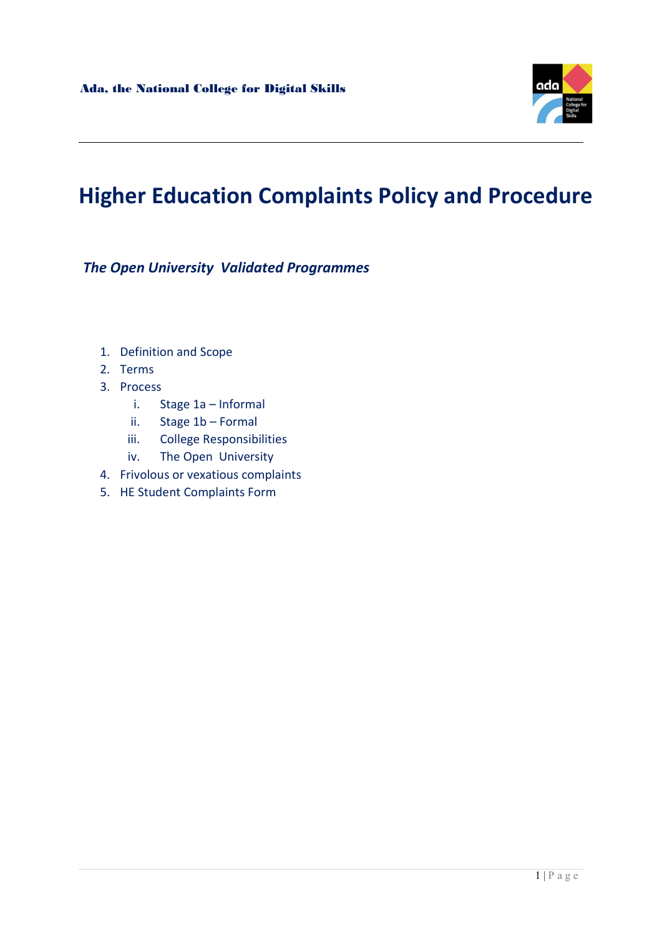

# Higher Education Complaints Policy and Procedure

The Open University Validated Programmes

- 1. Definition and Scope
- 2. Terms
- 3. Process
	- i. Stage 1a Informal
	- ii. Stage 1b Formal
	- iii. College Responsibilities
	- iv. The Open University
- 4. Frivolous or vexatious complaints
- 5. HE Student Complaints Form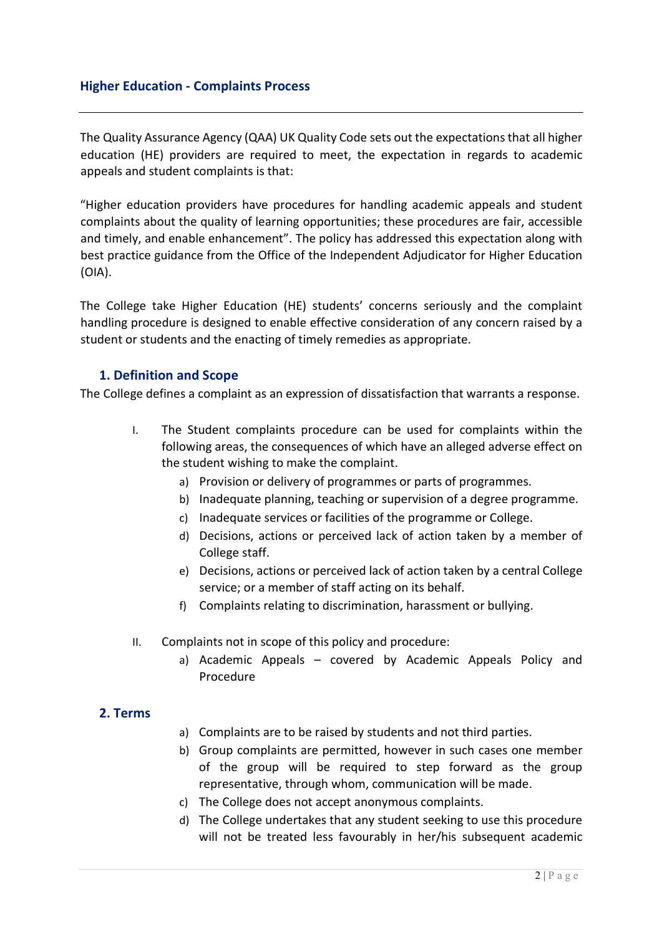#### Higher Education - Complaints Process

The Quality Assurance Agency (QAA) UK Quality Code sets out the expectations that all higher education (HE) providers are required to meet, the expectation in regards to academic appeals and student complaints is that:

"Higher education providers have procedures for handling academic appeals and student complaints about the quality of learning opportunities; these procedures are fair, accessible and timely, and enable enhancement". The policy has addressed this expectation along with best practice guidance from the Office of the Independent Adjudicator for Higher Education (OIA).

The College take Higher Education (HE) students' concerns seriously and the complaint handling procedure is designed to enable effective consideration of any concern raised by a student or students and the enacting of timely remedies as appropriate.

#### 1. Definition and Scope

The College defines a complaint as an expression of dissatisfaction that warrants a response.

- I. The Student complaints procedure can be used for complaints within the following areas, the consequences of which have an alleged adverse effect on the student wishing to make the complaint.
	- a) Provision or delivery of programmes or parts of programmes.
	- b) Inadequate planning, teaching or supervision of a degree programme.
	- c) Inadequate services or facilities of the programme or College.
	- d) Decisions, actions or perceived lack of action taken by a member of College staff.
	- e) Decisions, actions or perceived lack of action taken by a central College service; or a member of staff acting on its behalf.
	- f) Complaints relating to discrimination, harassment or bullying.
- II. Complaints not in scope of this policy and procedure:
	- a) Academic Appeals covered by Academic Appeals Policy and Procedure

#### 2. Terms

- a) Complaints are to be raised by students and not third parties.
- b) Group complaints are permitted, however in such cases one member of the group will be required to step forward as the group representative, through whom, communication will be made.
- c) The College does not accept anonymous complaints.
- d) The College undertakes that any student seeking to use this procedure will not be treated less favourably in her/his subsequent academic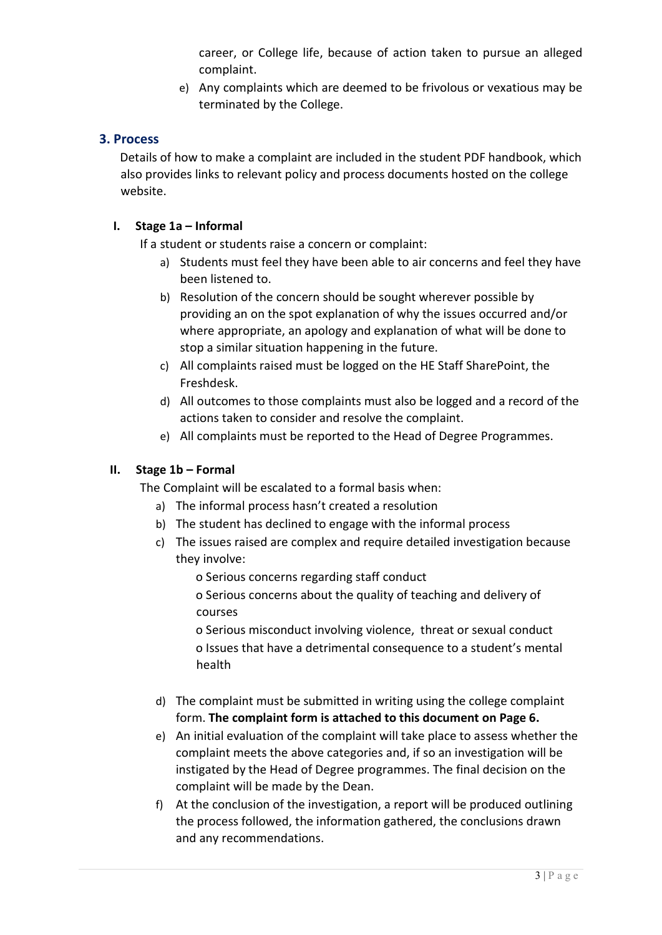career, or College life, because of action taken to pursue an alleged complaint.

e) Any complaints which are deemed to be frivolous or vexatious may be terminated by the College.

### 3. Process

Details of how to make a complaint are included in the student PDF handbook, which also provides links to relevant policy and process documents hosted on the college website.

#### I. Stage 1a – Informal

If a student or students raise a concern or complaint:

- a) Students must feel they have been able to air concerns and feel they have been listened to.
- b) Resolution of the concern should be sought wherever possible by providing an on the spot explanation of why the issues occurred and/or where appropriate, an apology and explanation of what will be done to stop a similar situation happening in the future.
- c) All complaints raised must be logged on the HE Staff SharePoint, the Freshdesk.
- d) All outcomes to those complaints must also be logged and a record of the actions taken to consider and resolve the complaint.
- e) All complaints must be reported to the Head of Degree Programmes.

#### II. Stage 1b – Formal

The Complaint will be escalated to a formal basis when:

- a) The informal process hasn't created a resolution
- b) The student has declined to engage with the informal process
- c) The issues raised are complex and require detailed investigation because they involve:
	- o Serious concerns regarding staff conduct
	- o Serious concerns about the quality of teaching and delivery of courses

o Serious misconduct involving violence, threat or sexual conduct o Issues that have a detrimental consequence to a student's mental health

- d) The complaint must be submitted in writing using the college complaint form. The complaint form is attached to this document on Page 6.
- e) An initial evaluation of the complaint will take place to assess whether the complaint meets the above categories and, if so an investigation will be instigated by the Head of Degree programmes. The final decision on the complaint will be made by the Dean.
- f) At the conclusion of the investigation, a report will be produced outlining the process followed, the information gathered, the conclusions drawn and any recommendations.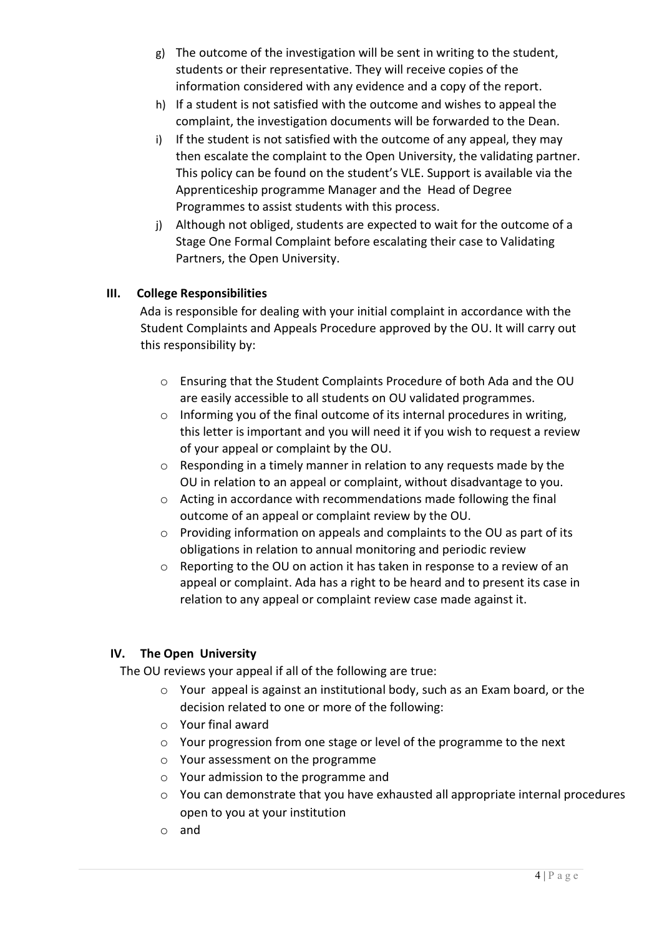- g) The outcome of the investigation will be sent in writing to the student, students or their representative. They will receive copies of the information considered with any evidence and a copy of the report.
- h) If a student is not satisfied with the outcome and wishes to appeal the complaint, the investigation documents will be forwarded to the Dean.
- i) If the student is not satisfied with the outcome of any appeal, they may then escalate the complaint to the Open University, the validating partner. This policy can be found on the student's VLE. Support is available via the Apprenticeship programme Manager and the Head of Degree Programmes to assist students with this process.
- j) Although not obliged, students are expected to wait for the outcome of a Stage One Formal Complaint before escalating their case to Validating Partners, the Open University.

#### III. College Responsibilities

Ada is responsible for dealing with your initial complaint in accordance with the Student Complaints and Appeals Procedure approved by the OU. It will carry out this responsibility by:

- o Ensuring that the Student Complaints Procedure of both Ada and the OU are easily accessible to all students on OU validated programmes.
- o Informing you of the final outcome of its internal procedures in writing, this letter is important and you will need it if you wish to request a review of your appeal or complaint by the OU.
- o Responding in a timely manner in relation to any requests made by the OU in relation to an appeal or complaint, without disadvantage to you.
- o Acting in accordance with recommendations made following the final outcome of an appeal or complaint review by the OU.
- o Providing information on appeals and complaints to the OU as part of its obligations in relation to annual monitoring and periodic review
- $\circ$  Reporting to the OU on action it has taken in response to a review of an appeal or complaint. Ada has a right to be heard and to present its case in relation to any appeal or complaint review case made against it.

#### IV. The Open University

The OU reviews your appeal if all of the following are true:

- o Your appeal is against an institutional body, such as an Exam board, or the decision related to one or more of the following:
- o Your final award
- o Your progression from one stage or level of the programme to the next
- o Your assessment on the programme
- o Your admission to the programme and
- o You can demonstrate that you have exhausted all appropriate internal procedures open to you at your institution
- o and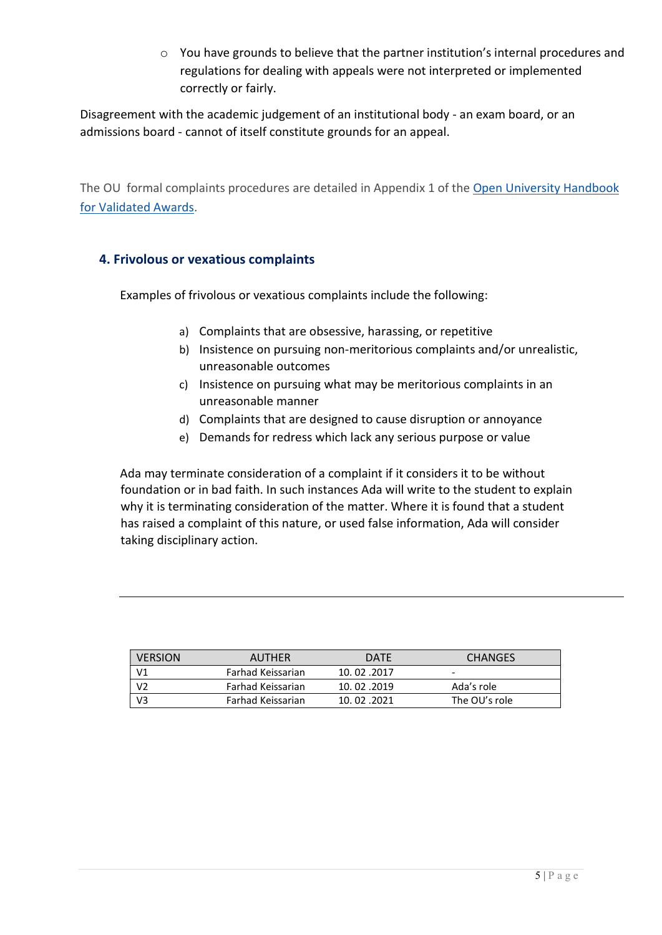o You have grounds to believe that the partner institution's internal procedures and regulations for dealing with appeals were not interpreted or implemented correctly or fairly.

Disagreement with the academic judgement of an institutional body - an exam board, or an admissions board - cannot of itself constitute grounds for an appeal.

The OU formal complaints procedures are detailed in Appendix 1 of the Open University Handbook for Validated Awards.

## 4. Frivolous or vexatious complaints

Examples of frivolous or vexatious complaints include the following:

- a) Complaints that are obsessive, harassing, or repetitive
- b) Insistence on pursuing non-meritorious complaints and/or unrealistic, unreasonable outcomes
- c) Insistence on pursuing what may be meritorious complaints in an unreasonable manner
- d) Complaints that are designed to cause disruption or annoyance
- e) Demands for redress which lack any serious purpose or value

Ada may terminate consideration of a complaint if it considers it to be without foundation or in bad faith. In such instances Ada will write to the student to explain why it is terminating consideration of the matter. Where it is found that a student has raised a complaint of this nature, or used false information, Ada will consider taking disciplinary action.

| <b>VERSION</b> | AUTHER            | <b>DATE</b>  | <b>CHANGES</b> |
|----------------|-------------------|--------------|----------------|
| ٧1             | Farhad Keissarian | 10, 02, 2017 | -              |
|                | Farhad Keissarian | 10.02.2019   | Ada's role     |
|                | Farhad Keissarian | 10.02.2021   | The OU's role  |